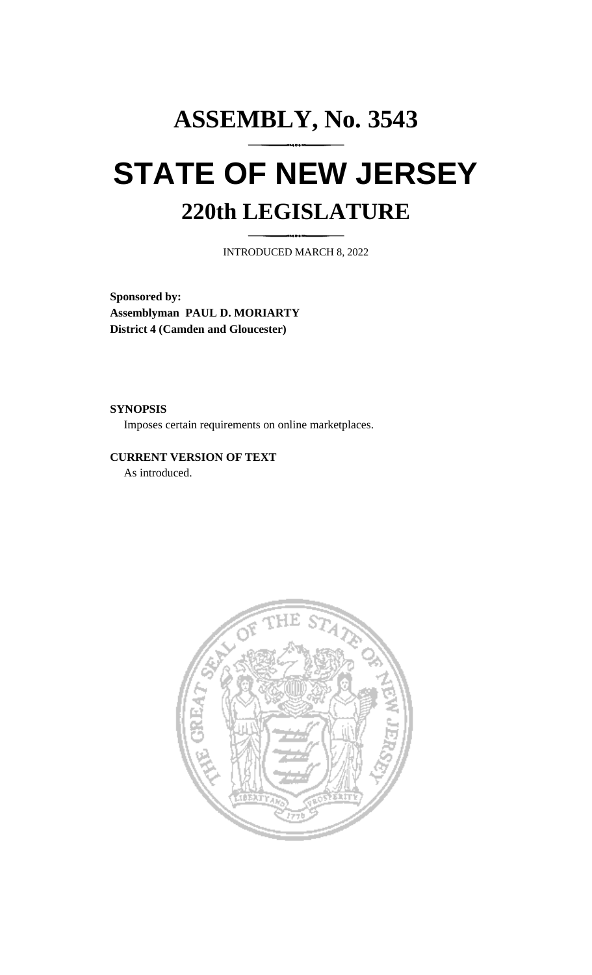## **ASSEMBLY, No. 3543 STATE OF NEW JERSEY 220th LEGISLATURE**

INTRODUCED MARCH 8, 2022

**Sponsored by: Assemblyman PAUL D. MORIARTY District 4 (Camden and Gloucester)**

**SYNOPSIS**

Imposes certain requirements on online marketplaces.

**CURRENT VERSION OF TEXT**  As introduced.

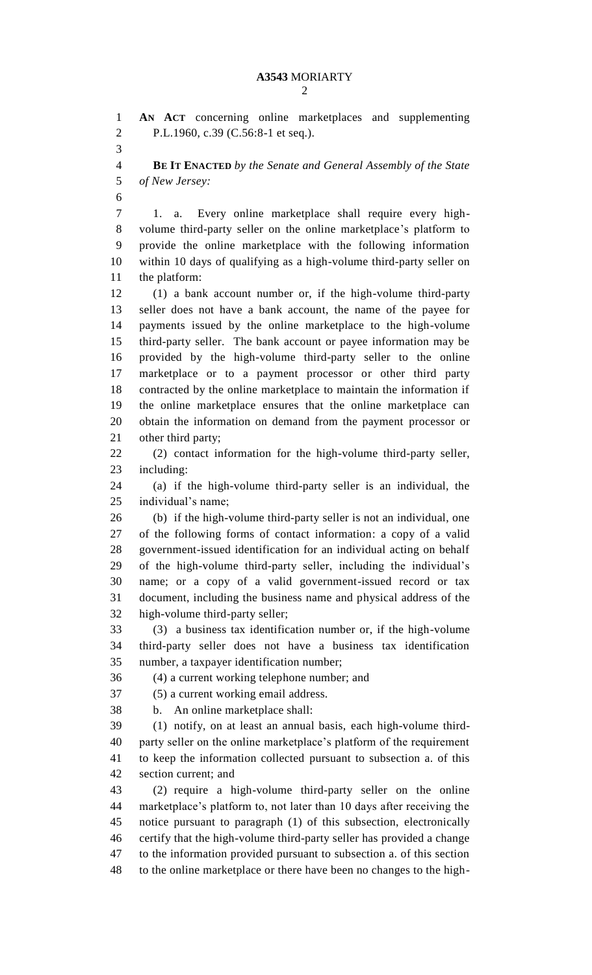**AN ACT** concerning online marketplaces and supplementing P.L.1960, c.39 (C.56:8-1 et seq.). **BE IT ENACTED** *by the Senate and General Assembly of the State of New Jersey:* 1. a. Every online marketplace shall require every high- volume third-party seller on the online marketplace's platform to provide the online marketplace with the following information within 10 days of qualifying as a high-volume third-party seller on the platform: (1) a bank account number or, if the high-volume third-party seller does not have a bank account, the name of the payee for payments issued by the online marketplace to the high-volume third-party seller. The bank account or payee information may be provided by the high-volume third-party seller to the online marketplace or to a payment processor or other third party contracted by the online marketplace to maintain the information if the online marketplace ensures that the online marketplace can obtain the information on demand from the payment processor or other third party; (2) contact information for the high-volume third-party seller, including: (a) if the high-volume third-party seller is an individual, the individual's name; (b) if the high-volume third-party seller is not an individual, one of the following forms of contact information: a copy of a valid government-issued identification for an individual acting on behalf of the high-volume third-party seller, including the individual's name; or a copy of a valid government-issued record or tax document, including the business name and physical address of the high-volume third-party seller; (3) a business tax identification number or, if the high-volume third-party seller does not have a business tax identification number, a taxpayer identification number; (4) a current working telephone number; and (5) a current working email address. b. An online marketplace shall: (1) notify, on at least an annual basis, each high-volume third- party seller on the online marketplace's platform of the requirement to keep the information collected pursuant to subsection a. of this section current; and (2) require a high-volume third-party seller on the online marketplace's platform to, not later than 10 days after receiving the notice pursuant to paragraph (1) of this subsection, electronically certify that the high-volume third-party seller has provided a change to the information provided pursuant to subsection a. of this section to the online marketplace or there have been no changes to the high-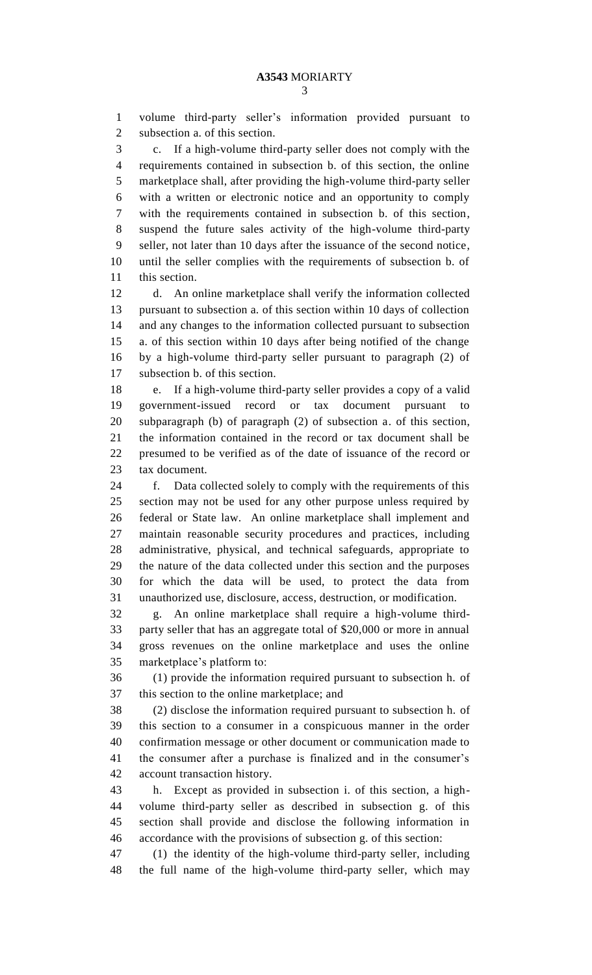volume third-party seller's information provided pursuant to subsection a. of this section.

 c. If a high-volume third-party seller does not comply with the requirements contained in subsection b. of this section, the online marketplace shall, after providing the high-volume third-party seller with a written or electronic notice and an opportunity to comply with the requirements contained in subsection b. of this section, suspend the future sales activity of the high-volume third-party seller, not later than 10 days after the issuance of the second notice, until the seller complies with the requirements of subsection b. of this section.

 d. An online marketplace shall verify the information collected pursuant to subsection a. of this section within 10 days of collection and any changes to the information collected pursuant to subsection a. of this section within 10 days after being notified of the change by a high-volume third-party seller pursuant to paragraph (2) of subsection b. of this section.

 e. If a high-volume third-party seller provides a copy of a valid government-issued record or tax document pursuant to subparagraph (b) of paragraph (2) of subsection a. of this section, the information contained in the record or tax document shall be presumed to be verified as of the date of issuance of the record or tax document.

 f. Data collected solely to comply with the requirements of this section may not be used for any other purpose unless required by federal or State law. An online marketplace shall implement and maintain reasonable security procedures and practices, including administrative, physical, and technical safeguards, appropriate to the nature of the data collected under this section and the purposes for which the data will be used, to protect the data from unauthorized use, disclosure, access, destruction, or modification.

 g. An online marketplace shall require a high-volume third- party seller that has an aggregate total of \$20,000 or more in annual gross revenues on the online marketplace and uses the online marketplace's platform to:

 (1) provide the information required pursuant to subsection h. of this section to the online marketplace; and

 (2) disclose the information required pursuant to subsection h. of this section to a consumer in a conspicuous manner in the order confirmation message or other document or communication made to the consumer after a purchase is finalized and in the consumer's account transaction history.

 h. Except as provided in subsection i. of this section, a high- volume third-party seller as described in subsection g. of this section shall provide and disclose the following information in accordance with the provisions of subsection g. of this section:

 (1) the identity of the high-volume third-party seller, including the full name of the high-volume third-party seller, which may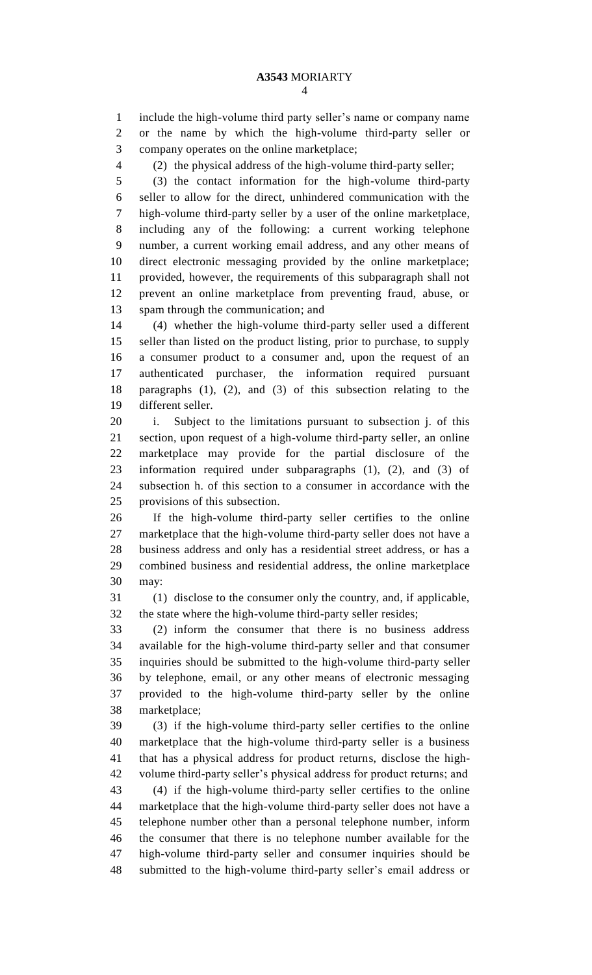include the high-volume third party seller's name or company name or the name by which the high-volume third-party seller or company operates on the online marketplace;

(2) the physical address of the high-volume third-party seller;

 (3) the contact information for the high-volume third-party seller to allow for the direct, unhindered communication with the high-volume third-party seller by a user of the online marketplace, including any of the following: a current working telephone number, a current working email address, and any other means of direct electronic messaging provided by the online marketplace; provided, however, the requirements of this subparagraph shall not prevent an online marketplace from preventing fraud, abuse, or spam through the communication; and

 (4) whether the high-volume third-party seller used a different seller than listed on the product listing, prior to purchase, to supply a consumer product to a consumer and, upon the request of an authenticated purchaser, the information required pursuant paragraphs (1), (2), and (3) of this subsection relating to the different seller.

 i. Subject to the limitations pursuant to subsection j. of this section, upon request of a high-volume third-party seller, an online marketplace may provide for the partial disclosure of the information required under subparagraphs (1), (2), and (3) of subsection h. of this section to a consumer in accordance with the provisions of this subsection.

 If the high-volume third-party seller certifies to the online marketplace that the high-volume third-party seller does not have a business address and only has a residential street address, or has a combined business and residential address, the online marketplace may:

 (1) disclose to the consumer only the country, and, if applicable, the state where the high-volume third-party seller resides;

 (2) inform the consumer that there is no business address available for the high-volume third-party seller and that consumer inquiries should be submitted to the high-volume third-party seller by telephone, email, or any other means of electronic messaging provided to the high-volume third-party seller by the online marketplace;

 (3) if the high-volume third-party seller certifies to the online marketplace that the high-volume third-party seller is a business that has a physical address for product returns, disclose the high- volume third-party seller's physical address for product returns; and (4) if the high-volume third-party seller certifies to the online marketplace that the high-volume third-party seller does not have a telephone number other than a personal telephone number, inform the consumer that there is no telephone number available for the high-volume third-party seller and consumer inquiries should be submitted to the high-volume third-party seller's email address or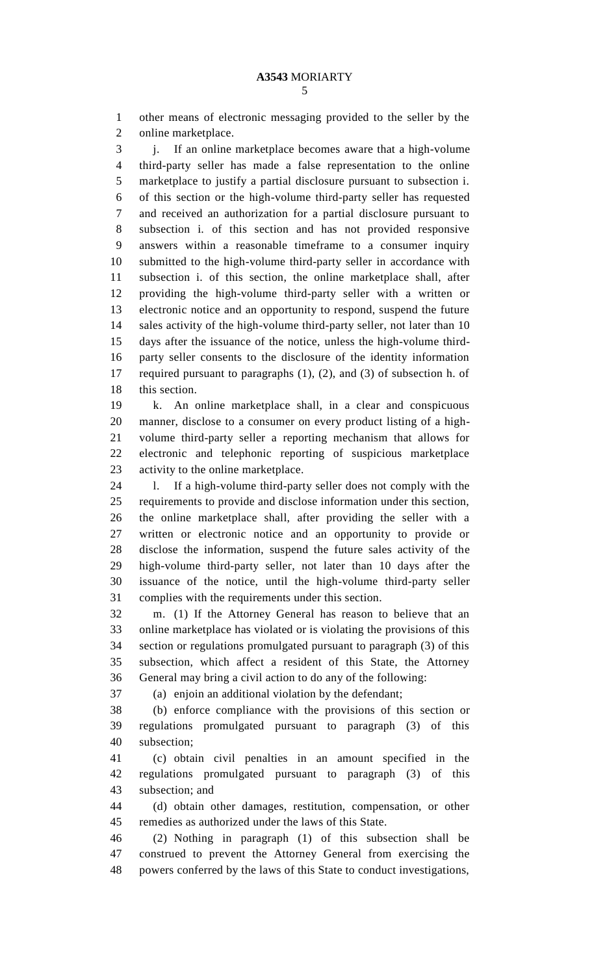other means of electronic messaging provided to the seller by the online marketplace.

3 i. If an online marketplace becomes aware that a high-volume third-party seller has made a false representation to the online marketplace to justify a partial disclosure pursuant to subsection i. of this section or the high-volume third-party seller has requested and received an authorization for a partial disclosure pursuant to subsection i. of this section and has not provided responsive answers within a reasonable timeframe to a consumer inquiry submitted to the high-volume third-party seller in accordance with subsection i. of this section, the online marketplace shall, after providing the high-volume third-party seller with a written or electronic notice and an opportunity to respond, suspend the future 14 sales activity of the high-volume third-party seller, not later than 10 days after the issuance of the notice, unless the high-volume third- party seller consents to the disclosure of the identity information required pursuant to paragraphs (1), (2), and (3) of subsection h. of 18 this section.

 k. An online marketplace shall, in a clear and conspicuous manner, disclose to a consumer on every product listing of a high- volume third-party seller a reporting mechanism that allows for electronic and telephonic reporting of suspicious marketplace activity to the online marketplace.

 l. If a high-volume third-party seller does not comply with the requirements to provide and disclose information under this section, the online marketplace shall, after providing the seller with a written or electronic notice and an opportunity to provide or disclose the information, suspend the future sales activity of the high-volume third-party seller, not later than 10 days after the issuance of the notice, until the high-volume third-party seller complies with the requirements under this section.

 m. (1) If the Attorney General has reason to believe that an online marketplace has violated or is violating the provisions of this section or regulations promulgated pursuant to paragraph (3) of this subsection, which affect a resident of this State, the Attorney General may bring a civil action to do any of the following:

(a) enjoin an additional violation by the defendant;

 (b) enforce compliance with the provisions of this section or regulations promulgated pursuant to paragraph (3) of this subsection;

 (c) obtain civil penalties in an amount specified in the regulations promulgated pursuant to paragraph (3) of this subsection; and

 (d) obtain other damages, restitution, compensation, or other remedies as authorized under the laws of this State.

 (2) Nothing in paragraph (1) of this subsection shall be construed to prevent the Attorney General from exercising the powers conferred by the laws of this State to conduct investigations,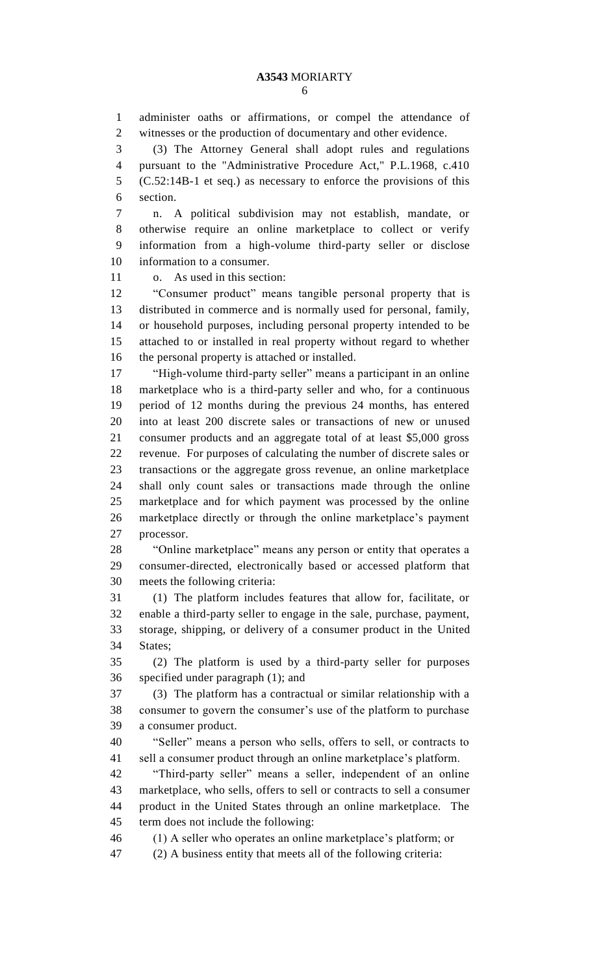administer oaths or affirmations, or compel the attendance of witnesses or the production of documentary and other evidence.

 (3) The Attorney General shall adopt rules and regulations pursuant to the "Administrative Procedure Act," P.L.1968, c.410 (C.52:14B-1 et seq.) as necessary to enforce the provisions of this section.

 n. A political subdivision may not establish, mandate, or otherwise require an online marketplace to collect or verify information from a high-volume third-party seller or disclose information to a consumer.

o. As used in this section:

 "Consumer product" means tangible personal property that is distributed in commerce and is normally used for personal, family, or household purposes, including personal property intended to be attached to or installed in real property without regard to whether the personal property is attached or installed.

 "High-volume third-party seller" means a participant in an online marketplace who is a third-party seller and who, for a continuous period of 12 months during the previous 24 months, has entered into at least 200 discrete sales or transactions of new or unused consumer products and an aggregate total of at least \$5,000 gross revenue. For purposes of calculating the number of discrete sales or transactions or the aggregate gross revenue, an online marketplace shall only count sales or transactions made through the online marketplace and for which payment was processed by the online marketplace directly or through the online marketplace's payment processor.

 "Online marketplace" means any person or entity that operates a consumer-directed, electronically based or accessed platform that meets the following criteria:

 (1) The platform includes features that allow for, facilitate, or enable a third-party seller to engage in the sale, purchase, payment, storage, shipping, or delivery of a consumer product in the United States;

 (2) The platform is used by a third-party seller for purposes specified under paragraph (1); and

 (3) The platform has a contractual or similar relationship with a consumer to govern the consumer's use of the platform to purchase a consumer product.

 "Seller" means a person who sells, offers to sell, or contracts to sell a consumer product through an online marketplace's platform.

 "Third-party seller" means a seller, independent of an online marketplace, who sells, offers to sell or contracts to sell a consumer product in the United States through an online marketplace. The term does not include the following:

(1) A seller who operates an online marketplace's platform; or

(2) A business entity that meets all of the following criteria: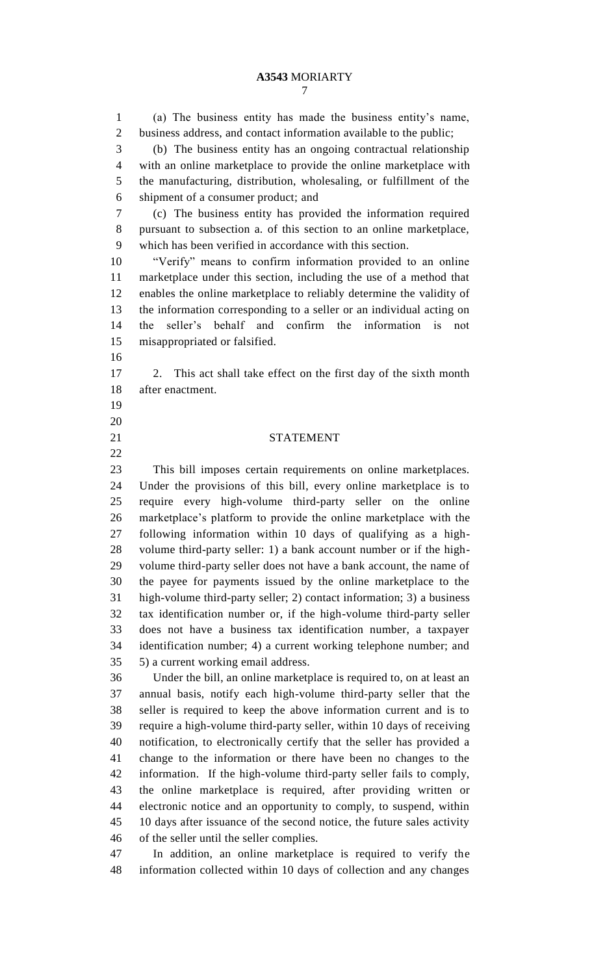## **A3543** MORIARTY

 (a) The business entity has made the business entity's name, business address, and contact information available to the public; (b) The business entity has an ongoing contractual relationship with an online marketplace to provide the online marketplace with the manufacturing, distribution, wholesaling, or fulfillment of the shipment of a consumer product; and (c) The business entity has provided the information required pursuant to subsection a. of this section to an online marketplace, which has been verified in accordance with this section. "Verify" means to confirm information provided to an online marketplace under this section, including the use of a method that enables the online marketplace to reliably determine the validity of the information corresponding to a seller or an individual acting on the seller's behalf and confirm the information is not misappropriated or falsified. 2. This act shall take effect on the first day of the sixth month after enactment. STATEMENT This bill imposes certain requirements on online marketplaces. Under the provisions of this bill, every online marketplace is to require every high-volume third-party seller on the online marketplace's platform to provide the online marketplace with the following information within 10 days of qualifying as a high- volume third-party seller: 1) a bank account number or if the high- volume third-party seller does not have a bank account, the name of the payee for payments issued by the online marketplace to the high-volume third-party seller; 2) contact information; 3) a business tax identification number or, if the high-volume third-party seller does not have a business tax identification number, a taxpayer identification number; 4) a current working telephone number; and 5) a current working email address. Under the bill, an online marketplace is required to, on at least an annual basis, notify each high-volume third-party seller that the seller is required to keep the above information current and is to

 require a high-volume third-party seller, within 10 days of receiving notification, to electronically certify that the seller has provided a change to the information or there have been no changes to the information. If the high-volume third-party seller fails to comply, the online marketplace is required, after providing written or electronic notice and an opportunity to comply, to suspend, within 10 days after issuance of the second notice, the future sales activity of the seller until the seller complies.

 In addition, an online marketplace is required to verify the information collected within 10 days of collection and any changes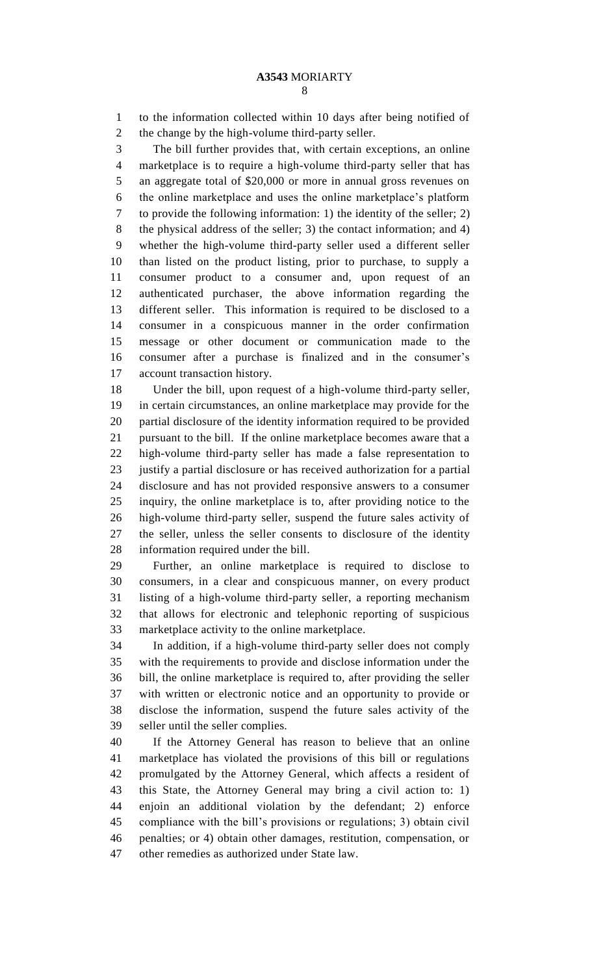to the information collected within 10 days after being notified of the change by the high-volume third-party seller.

 The bill further provides that, with certain exceptions, an online marketplace is to require a high-volume third-party seller that has an aggregate total of \$20,000 or more in annual gross revenues on the online marketplace and uses the online marketplace's platform to provide the following information: 1) the identity of the seller; 2) the physical address of the seller; 3) the contact information; and 4) whether the high-volume third-party seller used a different seller than listed on the product listing, prior to purchase, to supply a consumer product to a consumer and, upon request of an authenticated purchaser, the above information regarding the different seller. This information is required to be disclosed to a consumer in a conspicuous manner in the order confirmation message or other document or communication made to the consumer after a purchase is finalized and in the consumer's account transaction history.

 Under the bill, upon request of a high-volume third-party seller, in certain circumstances, an online marketplace may provide for the partial disclosure of the identity information required to be provided pursuant to the bill. If the online marketplace becomes aware that a high-volume third-party seller has made a false representation to justify a partial disclosure or has received authorization for a partial disclosure and has not provided responsive answers to a consumer inquiry, the online marketplace is to, after providing notice to the high-volume third-party seller, suspend the future sales activity of the seller, unless the seller consents to disclosure of the identity information required under the bill.

 Further, an online marketplace is required to disclose to consumers, in a clear and conspicuous manner, on every product listing of a high-volume third-party seller, a reporting mechanism that allows for electronic and telephonic reporting of suspicious marketplace activity to the online marketplace.

 In addition, if a high-volume third-party seller does not comply with the requirements to provide and disclose information under the bill, the online marketplace is required to, after providing the seller with written or electronic notice and an opportunity to provide or disclose the information, suspend the future sales activity of the seller until the seller complies.

 If the Attorney General has reason to believe that an online marketplace has violated the provisions of this bill or regulations promulgated by the Attorney General, which affects a resident of this State, the Attorney General may bring a civil action to: 1) enjoin an additional violation by the defendant; 2) enforce compliance with the bill's provisions or regulations; 3) obtain civil penalties; or 4) obtain other damages, restitution, compensation, or other remedies as authorized under State law.